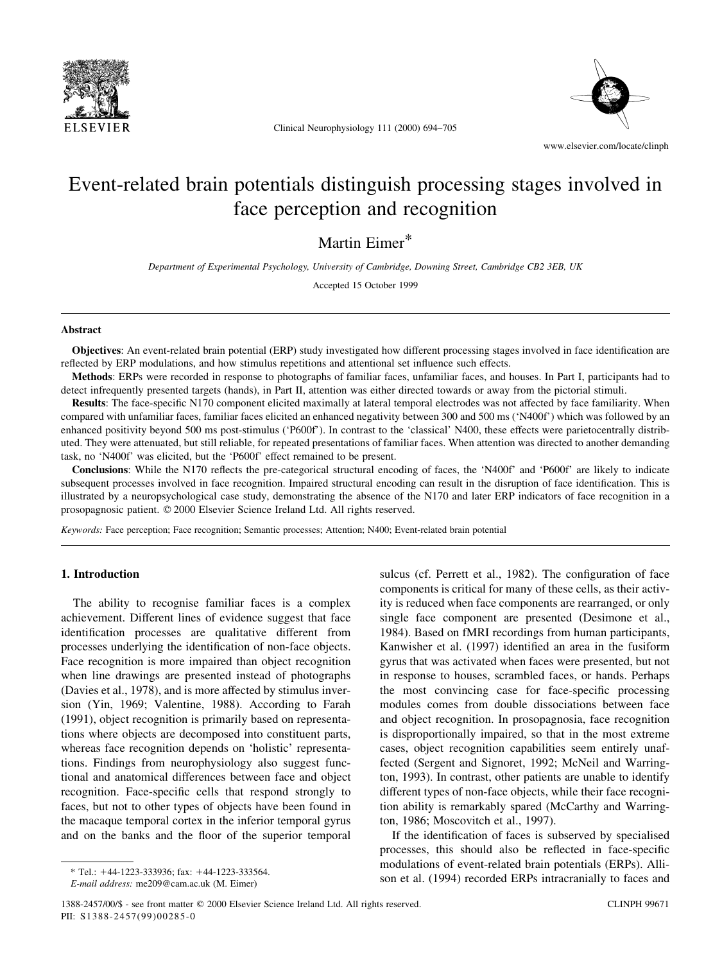

Clinical Neurophysiology 111 (2000) 694-705



www.elsevier.com/locate/clinph

# Event-related brain potentials distinguish processing stages involved in face perception and recognition

Martin Eimer\*

Department of Experimental Psychology, University of Cambridge, Downing Street, Cambridge CB2 3EB, UK

Accepted 15 October 1999

#### Abstract

Objectives: An event-related brain potential (ERP) study investigated how different processing stages involved in face identification are reflected by ERP modulations, and how stimulus repetitions and attentional set influence such effects.

Methods: ERPs were recorded in response to photographs of familiar faces, unfamiliar faces, and houses. In Part I, participants had to detect infrequently presented targets (hands), in Part II, attention was either directed towards or away from the pictorial stimuli.

Results: The face-specific N170 component elicited maximally at lateral temporal electrodes was not affected by face familiarity. When compared with unfamiliar faces, familiar faces elicited an enhanced negativity between 300 and 500 ms (`N400f') which was followed by an enhanced positivity beyond 500 ms post-stimulus ('P600f'). In contrast to the 'classical' N400, these effects were parietocentrally distributed. They were attenuated, but still reliable, for repeated presentations of familiar faces. When attention was directed to another demanding task, no `N400f' was elicited, but the `P600f' effect remained to be present.

Conclusions: While the N170 reflects the pre-categorical structural encoding of faces, the 'N400f' and 'P600f' are likely to indicate subsequent processes involved in face recognition. Impaired structural encoding can result in the disruption of face identification. This is illustrated by a neuropsychological case study, demonstrating the absence of the N170 and later ERP indicators of face recognition in a prosopagnosic patient.  $© 2000$  Elsevier Science Ireland Ltd. All rights reserved.

Keywords: Face perception; Face recognition; Semantic processes; Attention; N400; Event-related brain potential

#### 1. Introduction

The ability to recognise familiar faces is a complex achievement. Different lines of evidence suggest that face identification processes are qualitative different from processes underlying the identification of non-face objects. Face recognition is more impaired than object recognition when line drawings are presented instead of photographs (Davies et al., 1978), and is more affected by stimulus inversion (Yin, 1969; Valentine, 1988). According to Farah (1991), object recognition is primarily based on representations where objects are decomposed into constituent parts, whereas face recognition depends on 'holistic' representations. Findings from neurophysiology also suggest functional and anatomical differences between face and object recognition. Face-specific cells that respond strongly to faces, but not to other types of objects have been found in the macaque temporal cortex in the inferior temporal gyrus and on the banks and the floor of the superior temporal sulcus (cf. Perrett et al., 1982). The configuration of face components is critical for many of these cells, as their activity is reduced when face components are rearranged, or only single face component are presented (Desimone et al., 1984). Based on fMRI recordings from human participants, Kanwisher et al. (1997) identified an area in the fusiform gyrus that was activated when faces were presented, but not in response to houses, scrambled faces, or hands. Perhaps the most convincing case for face-specific processing modules comes from double dissociations between face and object recognition. In prosopagnosia, face recognition is disproportionally impaired, so that in the most extreme cases, object recognition capabilities seem entirely unaffected (Sergent and Signoret, 1992; McNeil and Warrington, 1993). In contrast, other patients are unable to identify different types of non-face objects, while their face recognition ability is remarkably spared (McCarthy and Warrington, 1986; Moscovitch et al., 1997).

If the identification of faces is subserved by specialised processes, this should also be reflected in face-specific modulations of event-related brain potentials (ERPs). Allison et al. (1994) recorded ERPs intracranially to faces and

 $*$  Tel.: +44-1223-333936; fax: +44-1223-333564.

E-mail address: me209@cam.ac.uk (M. Eimer)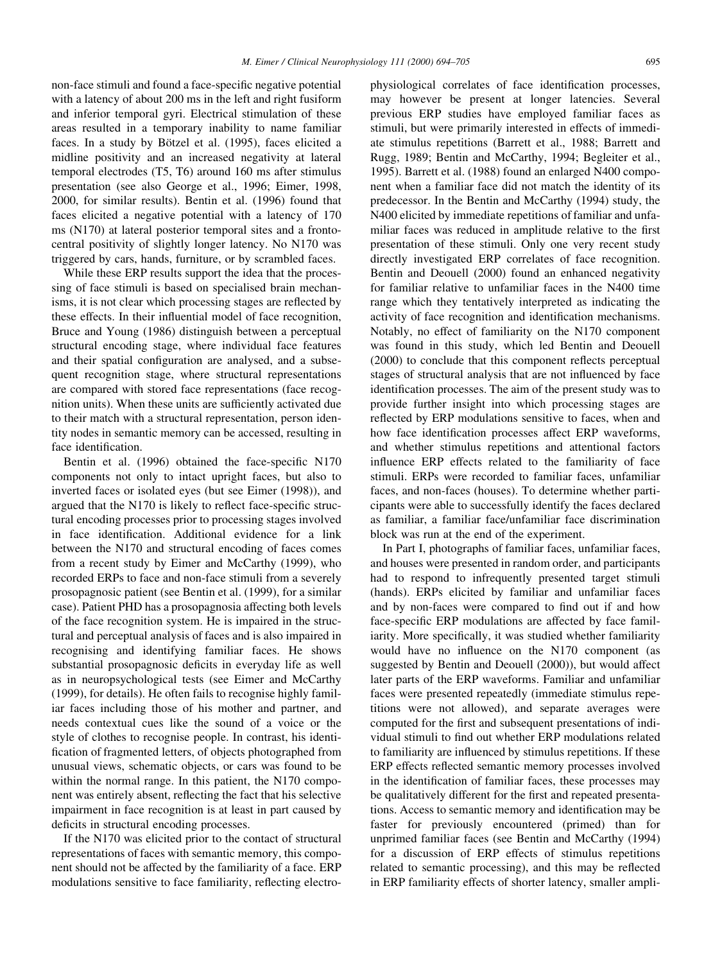non-face stimuli and found a face-specific negative potential with a latency of about 200 ms in the left and right fusiform and inferior temporal gyri. Electrical stimulation of these areas resulted in a temporary inability to name familiar faces. In a study by Bötzel et al. (1995), faces elicited a midline positivity and an increased negativity at lateral temporal electrodes (T5, T6) around 160 ms after stimulus presentation (see also George et al., 1996; Eimer, 1998, 2000, for similar results). Bentin et al. (1996) found that faces elicited a negative potential with a latency of 170 ms (N170) at lateral posterior temporal sites and a frontocentral positivity of slightly longer latency. No N170 was triggered by cars, hands, furniture, or by scrambled faces.

While these ERP results support the idea that the processing of face stimuli is based on specialised brain mechanisms, it is not clear which processing stages are reflected by these effects. In their influential model of face recognition, Bruce and Young (1986) distinguish between a perceptual structural encoding stage, where individual face features and their spatial configuration are analysed, and a subsequent recognition stage, where structural representations are compared with stored face representations (face recognition units). When these units are sufficiently activated due to their match with a structural representation, person identity nodes in semantic memory can be accessed, resulting in face identification.

Bentin et al.  $(1996)$  obtained the face-specific N170 components not only to intact upright faces, but also to inverted faces or isolated eyes (but see Eimer (1998)), and argued that the  $N170$  is likely to reflect face-specific structural encoding processes prior to processing stages involved in face identification. Additional evidence for a link between the N170 and structural encoding of faces comes from a recent study by Eimer and McCarthy (1999), who recorded ERPs to face and non-face stimuli from a severely prosopagnosic patient (see Bentin et al. (1999), for a similar case). Patient PHD has a prosopagnosia affecting both levels of the face recognition system. He is impaired in the structural and perceptual analysis of faces and is also impaired in recognising and identifying familiar faces. He shows substantial prosopagnosic deficits in everyday life as well as in neuropsychological tests (see Eimer and McCarthy (1999), for details). He often fails to recognise highly familiar faces including those of his mother and partner, and needs contextual cues like the sound of a voice or the style of clothes to recognise people. In contrast, his identi fication of fragmented letters, of objects photographed from unusual views, schematic objects, or cars was found to be within the normal range. In this patient, the N170 component was entirely absent, reflecting the fact that his selective impairment in face recognition is at least in part caused by deficits in structural encoding processes.

If the N170 was elicited prior to the contact of structural representations of faces with semantic memory, this component should not be affected by the familiarity of a face. ERP modulations sensitive to face familiarity, reflecting electrophysiological correlates of face identification processes, may however be present at longer latencies. Several previous ERP studies have employed familiar faces as stimuli, but were primarily interested in effects of immediate stimulus repetitions (Barrett et al., 1988; Barrett and Rugg, 1989; Bentin and McCarthy, 1994; Begleiter et al., 1995). Barrett et al. (1988) found an enlarged N400 component when a familiar face did not match the identity of its predecessor. In the Bentin and McCarthy (1994) study, the N400 elicited by immediate repetitions of familiar and unfamiliar faces was reduced in amplitude relative to the first presentation of these stimuli. Only one very recent study directly investigated ERP correlates of face recognition. Bentin and Deouell (2000) found an enhanced negativity for familiar relative to unfamiliar faces in the N400 time range which they tentatively interpreted as indicating the activity of face recognition and identification mechanisms. Notably, no effect of familiarity on the N170 component was found in this study, which led Bentin and Deouell  $(2000)$  to conclude that this component reflects perceptual stages of structural analysis that are not influenced by face identification processes. The aim of the present study was to provide further insight into which processing stages are reflected by ERP modulations sensitive to faces, when and how face identification processes affect ERP waveforms, and whether stimulus repetitions and attentional factors influence ERP effects related to the familiarity of face stimuli. ERPs were recorded to familiar faces, unfamiliar faces, and non-faces (houses). To determine whether participants were able to successfully identify the faces declared as familiar, a familiar face/unfamiliar face discrimination block was run at the end of the experiment.

In Part I, photographs of familiar faces, unfamiliar faces, and houses were presented in random order, and participants had to respond to infrequently presented target stimuli (hands). ERPs elicited by familiar and unfamiliar faces and by non-faces were compared to find out if and how face-specific ERP modulations are affected by face familiarity. More specifically, it was studied whether familiarity would have no influence on the N170 component (as suggested by Bentin and Deouell (2000)), but would affect later parts of the ERP waveforms. Familiar and unfamiliar faces were presented repeatedly (immediate stimulus repetitions were not allowed), and separate averages were computed for the first and subsequent presentations of individual stimuli to find out whether ERP modulations related to familiarity are influenced by stimulus repetitions. If these ERP effects reflected semantic memory processes involved in the identification of familiar faces, these processes may be qualitatively different for the first and repeated presentations. Access to semantic memory and identification may be faster for previously encountered (primed) than for unprimed familiar faces (see Bentin and McCarthy (1994) for a discussion of ERP effects of stimulus repetitions related to semantic processing), and this may be reflected in ERP familiarity effects of shorter latency, smaller ampli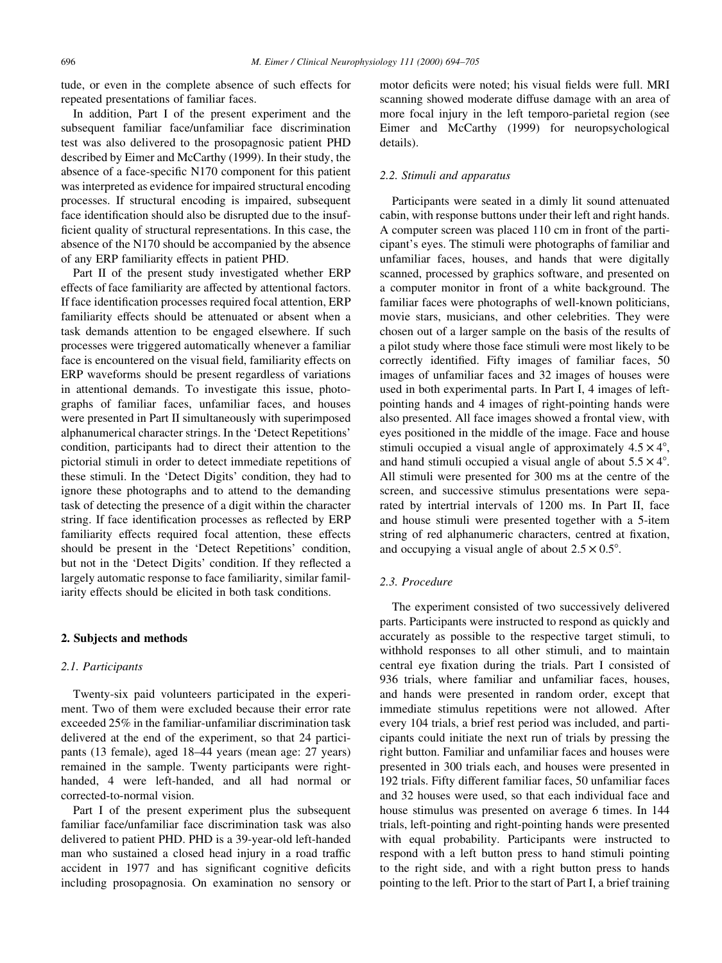tude, or even in the complete absence of such effects for repeated presentations of familiar faces.

In addition, Part I of the present experiment and the subsequent familiar face/unfamiliar face discrimination test was also delivered to the prosopagnosic patient PHD described by Eimer and McCarthy (1999). In their study, the absence of a face-specific N170 component for this patient was interpreted as evidence for impaired structural encoding processes. If structural encoding is impaired, subsequent face identification should also be disrupted due to the insufficient quality of structural representations. In this case, the absence of the N170 should be accompanied by the absence of any ERP familiarity effects in patient PHD.

Part II of the present study investigated whether ERP effects of face familiarity are affected by attentional factors. If face identification processes required focal attention, ERP familiarity effects should be attenuated or absent when a task demands attention to be engaged elsewhere. If such processes were triggered automatically whenever a familiar face is encountered on the visual field, familiarity effects on ERP waveforms should be present regardless of variations in attentional demands. To investigate this issue, photographs of familiar faces, unfamiliar faces, and houses were presented in Part II simultaneously with superimposed alphanumerical character strings. In the `Detect Repetitions' condition, participants had to direct their attention to the pictorial stimuli in order to detect immediate repetitions of these stimuli. In the `Detect Digits' condition, they had to ignore these photographs and to attend to the demanding task of detecting the presence of a digit within the character string. If face identification processes as reflected by ERP familiarity effects required focal attention, these effects should be present in the `Detect Repetitions' condition, but not in the 'Detect Digits' condition. If they reflected a largely automatic response to face familiarity, similar familiarity effects should be elicited in both task conditions.

#### 2. Subjects and methods

#### 2.1. Participants

Twenty-six paid volunteers participated in the experiment. Two of them were excluded because their error rate exceeded 25% in the familiar-unfamiliar discrimination task delivered at the end of the experiment, so that 24 participants (13 female), aged 18–44 years (mean age: 27 years) remained in the sample. Twenty participants were righthanded, 4 were left-handed, and all had normal or corrected-to-normal vision.

Part I of the present experiment plus the subsequent familiar face/unfamiliar face discrimination task was also delivered to patient PHD. PHD is a 39-year-old left-handed man who sustained a closed head injury in a road traffic accident in 1977 and has significant cognitive deficits including prosopagnosia. On examination no sensory or motor deficits were noted; his visual fields were full. MRI scanning showed moderate diffuse damage with an area of more focal injury in the left temporo-parietal region (see Eimer and McCarthy (1999) for neuropsychological details).

#### 2.2. Stimuli and apparatus

Participants were seated in a dimly lit sound attenuated cabin, with response buttons under their left and right hands. A computer screen was placed 110 cm in front of the participant's eyes. The stimuli were photographs of familiar and unfamiliar faces, houses, and hands that were digitally scanned, processed by graphics software, and presented on a computer monitor in front of a white background. The familiar faces were photographs of well-known politicians, movie stars, musicians, and other celebrities. They were chosen out of a larger sample on the basis of the results of a pilot study where those face stimuli were most likely to be correctly identified. Fifty images of familiar faces, 50 images of unfamiliar faces and 32 images of houses were used in both experimental parts. In Part I, 4 images of leftpointing hands and 4 images of right-pointing hands were also presented. All face images showed a frontal view, with eyes positioned in the middle of the image. Face and house stimuli occupied a visual angle of approximately  $4.5 \times 4^{\circ}$ , and hand stimuli occupied a visual angle of about  $5.5 \times 4^{\circ}$ . All stimuli were presented for 300 ms at the centre of the screen, and successive stimulus presentations were separated by intertrial intervals of 1200 ms. In Part II, face and house stimuli were presented together with a 5-item string of red alphanumeric characters, centred at fixation, and occupying a visual angle of about  $2.5 \times 0.5^{\circ}$ .

#### 2.3. Procedure

The experiment consisted of two successively delivered parts. Participants were instructed to respond as quickly and accurately as possible to the respective target stimuli, to withhold responses to all other stimuli, and to maintain central eye fixation during the trials. Part I consisted of 936 trials, where familiar and unfamiliar faces, houses, and hands were presented in random order, except that immediate stimulus repetitions were not allowed. After every 104 trials, a brief rest period was included, and participants could initiate the next run of trials by pressing the right button. Familiar and unfamiliar faces and houses were presented in 300 trials each, and houses were presented in 192 trials. Fifty different familiar faces, 50 unfamiliar faces and 32 houses were used, so that each individual face and house stimulus was presented on average 6 times. In 144 trials, left-pointing and right-pointing hands were presented with equal probability. Participants were instructed to respond with a left button press to hand stimuli pointing to the right side, and with a right button press to hands pointing to the left. Prior to the start of Part I, a brief training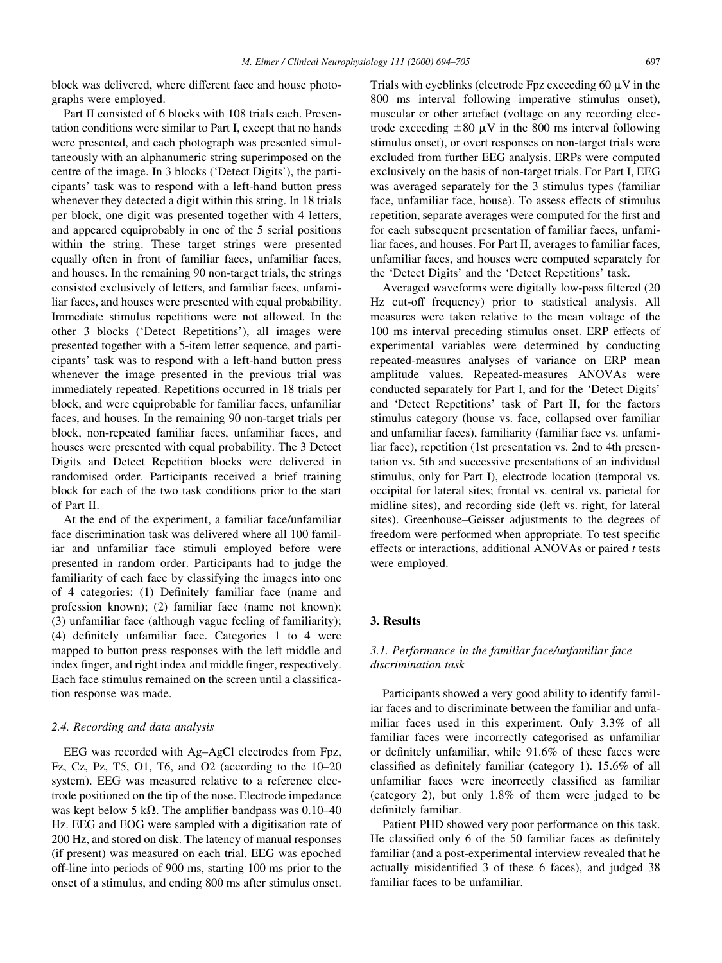block was delivered, where different face and house photographs were employed.

Part II consisted of 6 blocks with 108 trials each. Presentation conditions were similar to Part I, except that no hands were presented, and each photograph was presented simultaneously with an alphanumeric string superimposed on the centre of the image. In 3 blocks (`Detect Digits'), the participants' task was to respond with a left-hand button press whenever they detected a digit within this string. In 18 trials per block, one digit was presented together with 4 letters, and appeared equiprobably in one of the 5 serial positions within the string. These target strings were presented equally often in front of familiar faces, unfamiliar faces, and houses. In the remaining 90 non-target trials, the strings consisted exclusively of letters, and familiar faces, unfamiliar faces, and houses were presented with equal probability. Immediate stimulus repetitions were not allowed. In the other 3 blocks (`Detect Repetitions'), all images were presented together with a 5-item letter sequence, and participants' task was to respond with a left-hand button press whenever the image presented in the previous trial was immediately repeated. Repetitions occurred in 18 trials per block, and were equiprobable for familiar faces, unfamiliar faces, and houses. In the remaining 90 non-target trials per block, non-repeated familiar faces, unfamiliar faces, and houses were presented with equal probability. The 3 Detect Digits and Detect Repetition blocks were delivered in randomised order. Participants received a brief training block for each of the two task conditions prior to the start of Part II.

At the end of the experiment, a familiar face/unfamiliar face discrimination task was delivered where all 100 familiar and unfamiliar face stimuli employed before were presented in random order. Participants had to judge the familiarity of each face by classifying the images into one of 4 categories: (1) Definitely familiar face (name and profession known); (2) familiar face (name not known); (3) unfamiliar face (although vague feeling of familiarity); (4) definitely unfamiliar face. Categories  $1$  to  $4$  were mapped to button press responses with the left middle and index finger, and right index and middle finger, respectively. Each face stimulus remained on the screen until a classification response was made.

#### 2.4. Recording and data analysis

EEG was recorded with Ag-AgCl electrodes from Fpz, Fz, Cz, Pz, T5, O1, T6, and O2 (according to the  $10-20$ system). EEG was measured relative to a reference electrode positioned on the tip of the nose. Electrode impedance was kept below 5 k $\Omega$ . The amplifier bandpass was 0.10–40 Hz. EEG and EOG were sampled with a digitisation rate of 200 Hz, and stored on disk. The latency of manual responses (if present) was measured on each trial. EEG was epoched off-line into periods of 900 ms, starting 100 ms prior to the onset of a stimulus, and ending 800 ms after stimulus onset.

Trials with eyeblinks (electrode Fpz exceeding 60  $\mu$ V in the 800 ms interval following imperative stimulus onset), muscular or other artefact (voltage on any recording electrode exceeding  $\pm 80 \mu V$  in the 800 ms interval following stimulus onset), or overt responses on non-target trials were excluded from further EEG analysis. ERPs were computed exclusively on the basis of non-target trials. For Part I, EEG was averaged separately for the 3 stimulus types (familiar face, unfamiliar face, house). To assess effects of stimulus repetition, separate averages were computed for the first and for each subsequent presentation of familiar faces, unfamiliar faces, and houses. For Part II, averages to familiar faces, unfamiliar faces, and houses were computed separately for the `Detect Digits' and the `Detect Repetitions' task.

Averaged waveforms were digitally low-pass filtered (20) Hz cut-off frequency) prior to statistical analysis. All measures were taken relative to the mean voltage of the 100 ms interval preceding stimulus onset. ERP effects of experimental variables were determined by conducting repeated-measures analyses of variance on ERP mean amplitude values. Repeated-measures ANOVAs were conducted separately for Part I, and for the `Detect Digits' and `Detect Repetitions' task of Part II, for the factors stimulus category (house vs. face, collapsed over familiar and unfamiliar faces), familiarity (familiar face vs. unfamiliar face), repetition (1st presentation vs. 2nd to 4th presentation vs. 5th and successive presentations of an individual stimulus, only for Part I), electrode location (temporal vs. occipital for lateral sites; frontal vs. central vs. parietal for midline sites), and recording side (left vs. right, for lateral sites). Greenhouse–Geisser adjustments to the degrees of freedom were performed when appropriate. To test specific effects or interactions, additional ANOVAs or paired  $t$  tests were employed.

#### 3. Results

#### 3.1. Performance in the familiar face/unfamiliar face discrimination task

Participants showed a very good ability to identify familiar faces and to discriminate between the familiar and unfamiliar faces used in this experiment. Only 3.3% of all familiar faces were incorrectly categorised as unfamiliar or definitely unfamiliar, while  $91.6\%$  of these faces were classified as definitely familiar (category 1).  $15.6\%$  of all unfamiliar faces were incorrectly classified as familiar (category 2), but only 1.8% of them were judged to be definitely familiar.

Patient PHD showed very poor performance on this task. He classified only 6 of the 50 familiar faces as definitely familiar (and a post-experimental interview revealed that he actually misidentified 3 of these 6 faces), and judged 38 familiar faces to be unfamiliar.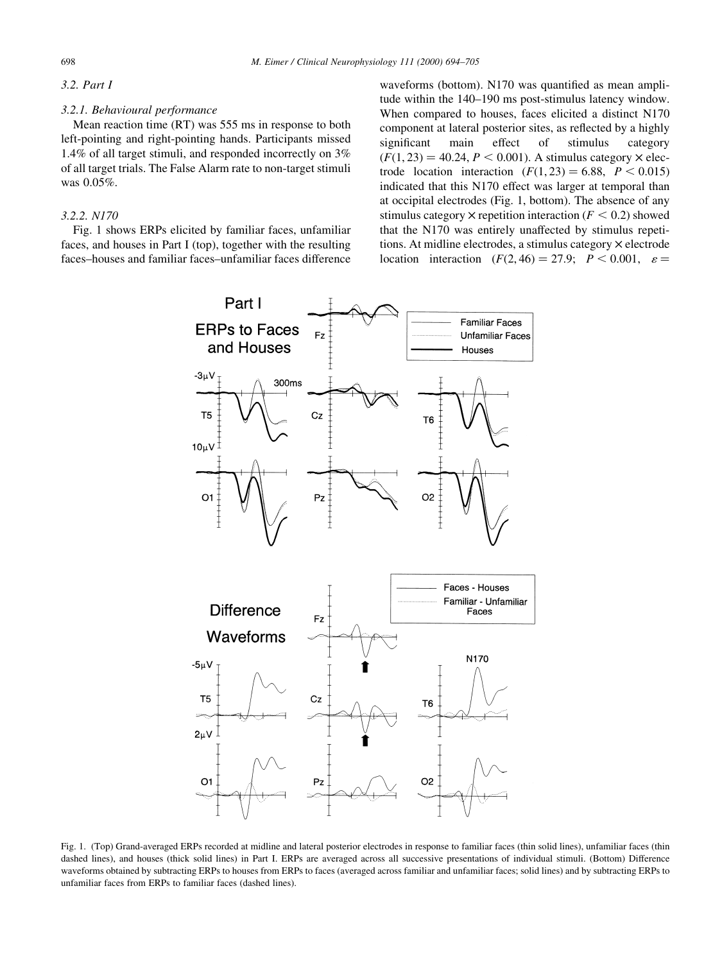#### 3.2. Part I

#### 3.2.1. Behavioural performance

Mean reaction time (RT) was 555 ms in response to both left-pointing and right-pointing hands. Participants missed 1.4% of all target stimuli, and responded incorrectly on 3% of all target trials. The False Alarm rate to non-target stimuli was 0.05%.

#### 3.2.2. N170

Fig. 1 shows ERPs elicited by familiar faces, unfamiliar faces, and houses in Part I (top), together with the resulting faces-houses and familiar faces-unfamiliar faces difference waveforms (bottom). N170 was quantified as mean amplitude within the 140–190 ms post-stimulus latency window. When compared to houses, faces elicited a distinct N170 component at lateral posterior sites, as reflected by a highly significant main effect of stimulus category  $(F(1, 23) = 40.24, P < 0.001)$ . A stimulus category  $\times$  electrode location interaction  $(F(1, 23) = 6.88, P < 0.015)$ indicated that this N170 effect was larger at temporal than at occipital electrodes (Fig. 1, bottom). The absence of any stimulus category  $\times$  repetition interaction ( $F < 0.2$ ) showed that the N170 was entirely unaffected by stimulus repetitions. At midline electrodes, a stimulus category  $\times$  electrode location interaction  $(F(2, 46) = 27.9; P < 0.001, \varepsilon =$ 



Fig. 1. (Top) Grand-averaged ERPs recorded at midline and lateral posterior electrodes in response to familiar faces (thin solid lines), unfamiliar faces (thin dashed lines), and houses (thick solid lines) in Part I. ERPs are averaged across all successive presentations of individual stimuli. (Bottom) Difference waveforms obtained by subtracting ERPs to houses from ERPs to faces (averaged across familiar and unfamiliar faces; solid lines) and by subtracting ERPs to unfamiliar faces from ERPs to familiar faces (dashed lines).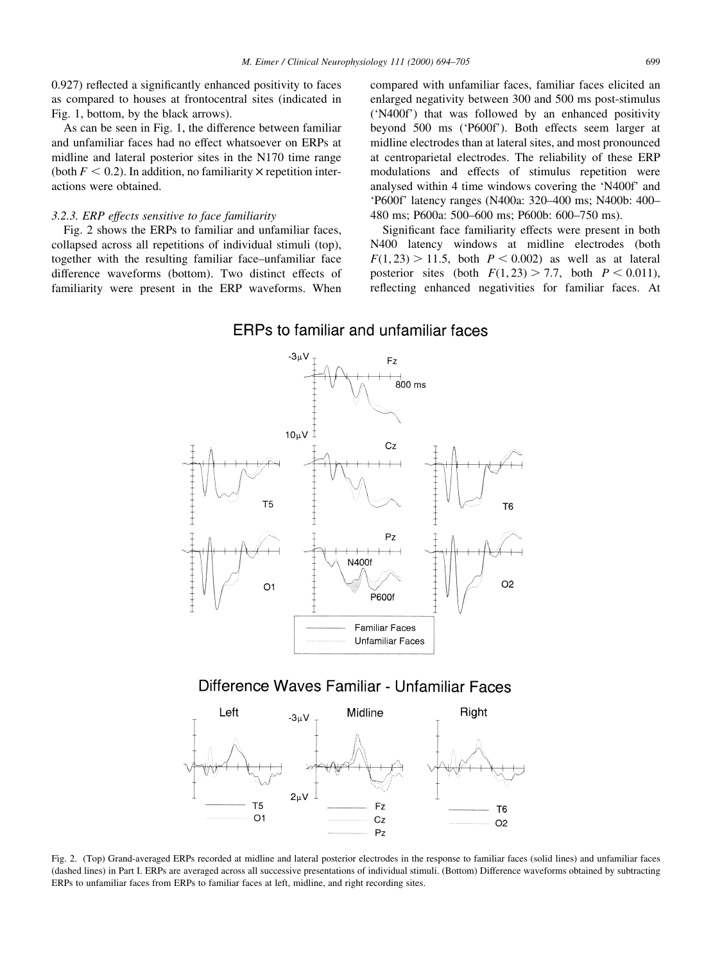$0.927$ ) reflected a significantly enhanced positivity to faces as compared to houses at frontocentral sites (indicated in Fig. 1, bottom, by the black arrows).

As can be seen in Fig. 1, the difference between familiar and unfamiliar faces had no effect whatsoever on ERPs at midline and lateral posterior sites in the N170 time range (both  $F < 0.2$ ). In addition, no familiarity  $\times$  repetition interactions were obtained.

#### 3.2.3. ERP effects sensitive to face familiarity

Fig. 2 shows the ERPs to familiar and unfamiliar faces, collapsed across all repetitions of individual stimuli (top), together with the resulting familiar face-unfamiliar face difference waveforms (bottom). Two distinct effects of familiarity were present in the ERP waveforms. When

compared with unfamiliar faces, familiar faces elicited an enlarged negativity between 300 and 500 ms post-stimulus (`N400f') that was followed by an enhanced positivity beyond 500 ms (`P600f'). Both effects seem larger at midline electrodes than at lateral sites, and most pronounced at centroparietal electrodes. The reliability of these ERP modulations and effects of stimulus repetition were analysed within 4 time windows covering the `N400f' and 'P600f' latency ranges (N400a: 320–400 ms; N400b: 400– 480 ms; P600a: 500-600 ms; P600b: 600-750 ms).

Significant face familiarity effects were present in both N400 latency windows at midline electrodes (both  $F(1, 23) > 11.5$ , both  $P < 0.002$ ) as well as at lateral posterior sites (both  $F(1, 23) > 7.7$ , both  $P < 0.011$ ), reflecting enhanced negativities for familiar faces. At

### ERPs to familiar and unfamiliar faces



# Difference Waves Familiar - Unfamiliar Faces



Fig. 2. (Top) Grand-averaged ERPs recorded at midline and lateral posterior electrodes in the response to familiar faces (solid lines) and unfamiliar faces (dashed lines) in Part I. ERPs are averaged across all successive presentations of individual stimuli. (Bottom) Difference waveforms obtained by subtracting ERPs to unfamiliar faces from ERPs to familiar faces at left, midline, and right recording sites.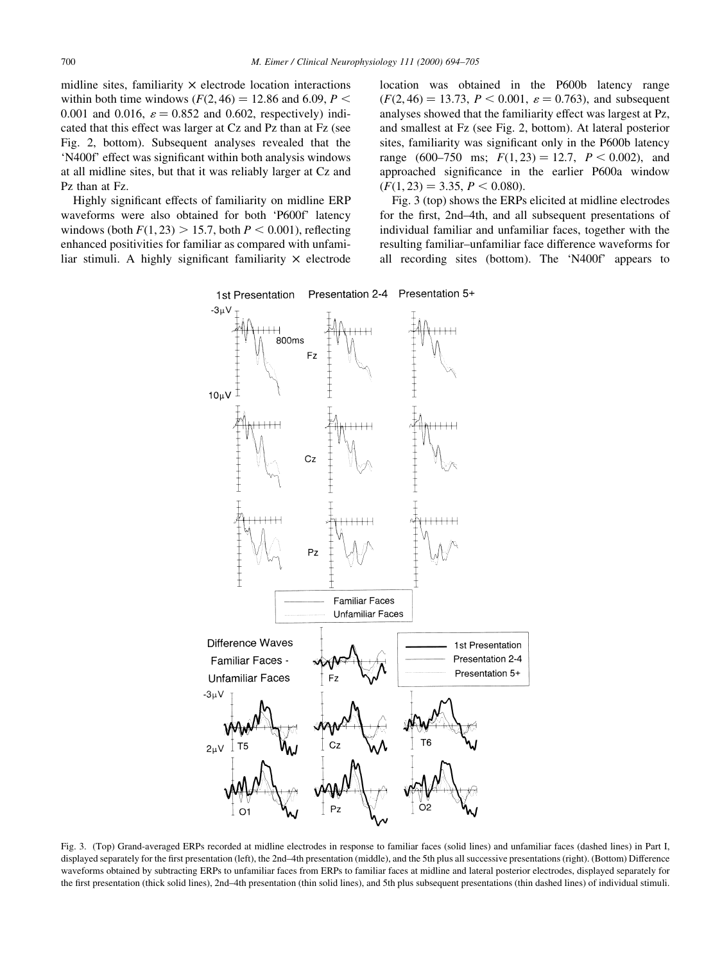midline sites, familiarity  $\times$  electrode location interactions within both time windows  $(F(2, 46) = 12.86$  and 6.09,  $P \le$ 0.001 and 0.016,  $\varepsilon = 0.852$  and 0.602, respectively) indicated that this effect was larger at Cz and Pz than at Fz (see Fig. 2, bottom). Subsequent analyses revealed that the 'N400f' effect was significant within both analysis windows at all midline sites, but that it was reliably larger at Cz and Pz than at Fz.

Highly significant effects of familiarity on midline ERP waveforms were also obtained for both 'P600f' latency windows (both  $F(1, 23) > 15.7$ , both  $P < 0.001$ ), reflecting enhanced positivities for familiar as compared with unfamiliar stimuli. A highly significant familiarity  $\times$  electrode location was obtained in the P600b latency range  $(F(2, 46) = 13.73, P < 0.001, \varepsilon = 0.763)$ , and subsequent analyses showed that the familiarity effect was largest at Pz, and smallest at Fz (see Fig. 2, bottom). At lateral posterior sites, familiarity was significant only in the P600b latency range (600–750 ms;  $F(1,23) = 12.7$ ,  $P < 0.002$ ), and approached significance in the earlier P600a window  $(F(1, 23) = 3.35, P \le 0.080).$ 

Fig. 3 (top) shows the ERPs elicited at midline electrodes for the first, 2nd–4th, and all subsequent presentations of individual familiar and unfamiliar faces, together with the resulting familiar-unfamiliar face difference waveforms for all recording sites (bottom). The `N400f' appears to



Fig. 3. (Top) Grand-averaged ERPs recorded at midline electrodes in response to familiar faces (solid lines) and unfamiliar faces (dashed lines) in Part I, displayed separately for the first presentation (left), the 2nd-4th presentation (middle), and the 5th plus all successive presentations (right). (Bottom) Difference waveforms obtained by subtracting ERPs to unfamiliar faces from ERPs to familiar faces at midline and lateral posterior electrodes, displayed separately for the first presentation (thick solid lines), 2nd-4th presentation (thin solid lines), and 5th plus subsequent presentations (thin dashed lines) of individual stimuli.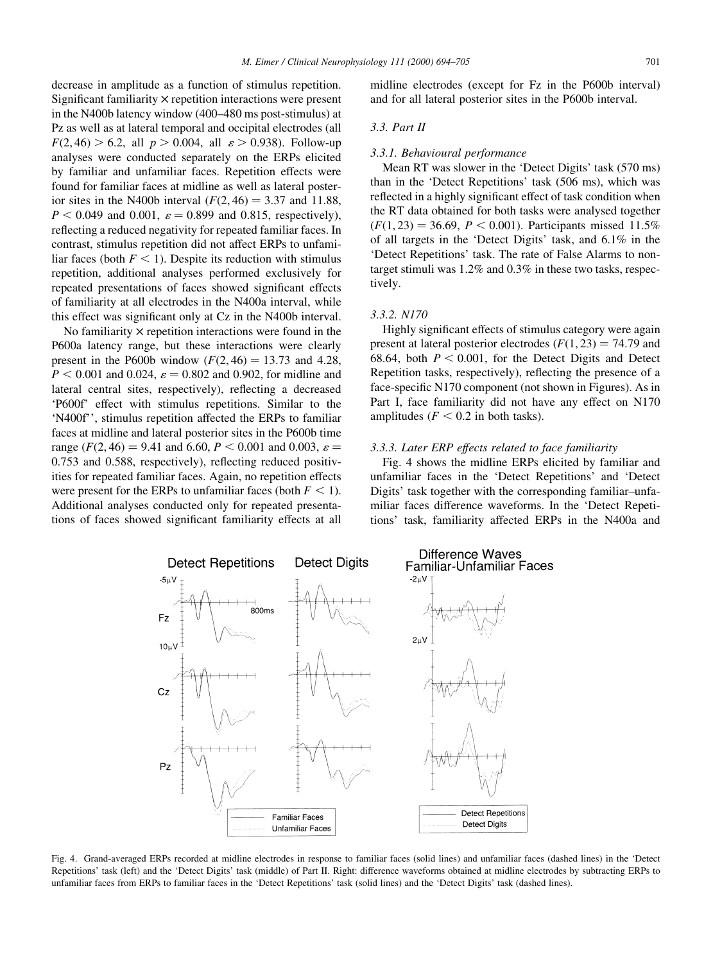decrease in amplitude as a function of stimulus repetition. Significant familiarity  $\times$  repetition interactions were present in the N400b latency window (400–480 ms post-stimulus) at Pz as well as at lateral temporal and occipital electrodes (all  $F(2, 46) > 6.2$ , all  $p > 0.004$ , all  $\varepsilon > 0.938$ ). Follow-up analyses were conducted separately on the ERPs elicited by familiar and unfamiliar faces. Repetition effects were found for familiar faces at midline as well as lateral posterior sites in the N400b interval  $(F(2, 46) = 3.37$  and 11.88,  $P < 0.049$  and 0.001,  $\varepsilon = 0.899$  and 0.815, respectively), reflecting a reduced negativity for repeated familiar faces. In contrast, stimulus repetition did not affect ERPs to unfamiliar faces (both  $F < 1$ ). Despite its reduction with stimulus repetition, additional analyses performed exclusively for repeated presentations of faces showed significant effects of familiarity at all electrodes in the N400a interval, while this effect was significant only at Cz in the N400b interval.

No familiarity  $\times$  repetition interactions were found in the P600a latency range, but these interactions were clearly present in the P600b window  $(F(2, 46) = 13.73$  and 4.28,  $P < 0.001$  and 0.024,  $\varepsilon = 0.802$  and 0.902, for midline and lateral central sites, respectively), reflecting a decreased `P600f' effect with stimulus repetitions. Similar to the `N400f'', stimulus repetition affected the ERPs to familiar faces at midline and lateral posterior sites in the P600b time range ( $F(2, 46) = 9.41$  and 6.60,  $P < 0.001$  and 0.003,  $\varepsilon =$  $0.753$  and  $0.588$ , respectively), reflecting reduced positivities for repeated familiar faces. Again, no repetition effects were present for the ERPs to unfamiliar faces (both  $F < 1$ ). Additional analyses conducted only for repeated presentations of faces showed significant familiarity effects at all midline electrodes (except for Fz in the P600b interval) and for all lateral posterior sites in the P600b interval.

#### 3.3. Part II

#### 3.3.1. Behavioural performance

Mean RT was slower in the 'Detect Digits' task (570 ms) than in the `Detect Repetitions' task (506 ms), which was reflected in a highly significant effect of task condition when the RT data obtained for both tasks were analysed together  $(F(1, 23) = 36.69, P < 0.001)$ . Participants missed 11.5% of all targets in the `Detect Digits' task, and 6.1% in the `Detect Repetitions' task. The rate of False Alarms to nontarget stimuli was 1.2% and 0.3% in these two tasks, respectively.

#### 3.3.2. N170

Highly significant effects of stimulus category were again present at lateral posterior electrodes  $(F(1, 23) = 74.79$  and 68.64, both  $P < 0.001$ , for the Detect Digits and Detect Repetition tasks, respectively), reflecting the presence of a face-specific N170 component (not shown in Figures). As in Part I, face familiarity did not have any effect on N170 amplitudes ( $F < 0.2$  in both tasks).

#### 3.3.3. Later ERP effects related to face familiarity

Fig. 4 shows the midline ERPs elicited by familiar and unfamiliar faces in the `Detect Repetitions' and `Detect Digits' task together with the corresponding familiar-unfamiliar faces difference waveforms. In the `Detect Repetitions' task, familiarity affected ERPs in the N400a and



Fig. 4. Grand-averaged ERPs recorded at midline electrodes in response to familiar faces (solid lines) and unfamiliar faces (dashed lines) in the `Detect Repetitions' task (left) and the `Detect Digits' task (middle) of Part II. Right: difference waveforms obtained at midline electrodes by subtracting ERPs to unfamiliar faces from ERPs to familiar faces in the `Detect Repetitions' task (solid lines) and the `Detect Digits' task (dashed lines).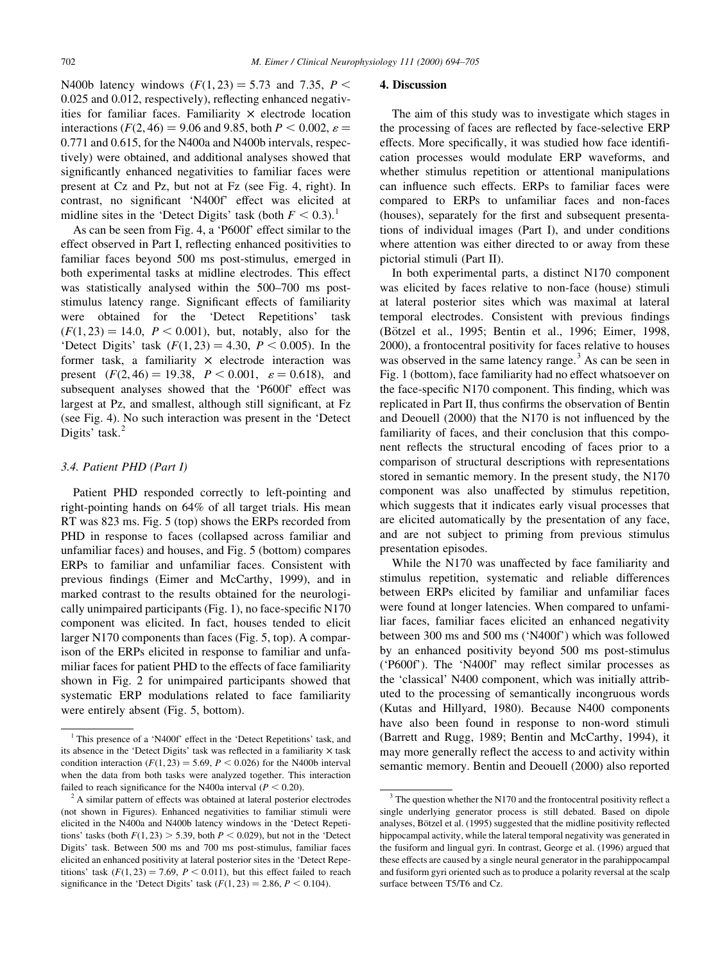N400b latency windows  $(F(1, 23) = 5.73$  and 7.35,  $P <$  $0.025$  and  $0.012$ , respectively), reflecting enhanced negativities for familiar faces. Familiarity  $\times$  electrode location interactions ( $F(2, 46) = 9.06$  and 9.85, both  $P < 0.002$ ,  $\varepsilon =$ 0:771 and 0.615, for the N400a and N400b intervals, respectively) were obtained, and additional analyses showed that significantly enhanced negativities to familiar faces were present at Cz and Pz, but not at Fz (see Fig. 4, right). In contrast, no significant 'N400f' effect was elicited at midline sites in the 'Detect Digits' task (both  $F < 0.3$ ).<sup>1</sup>

As can be seen from Fig. 4, a 'P600f' effect similar to the effect observed in Part I, reflecting enhanced positivities to familiar faces beyond 500 ms post-stimulus, emerged in both experimental tasks at midline electrodes. This effect was statistically analysed within the 500–700 ms poststimulus latency range. Significant effects of familiarity were obtained for the 'Detect Repetitions' task  $(F(1, 23) = 14.0, P < 0.001)$ , but, notably, also for the 'Detect Digits' task  $(F(1, 23) = 4.30, P < 0.005)$ . In the former task, a familiarity  $\times$  electrode interaction was present  $(F(2, 46) = 19.38, P < 0.001, \varepsilon = 0.618)$ , and subsequent analyses showed that the `P600f' effect was largest at Pz, and smallest, although still significant, at Fz (see Fig. 4). No such interaction was present in the `Detect Digits' task.<sup>2</sup>

#### 3.4. Patient PHD (Part I)

Patient PHD responded correctly to left-pointing and right-pointing hands on 64% of all target trials. His mean RT was 823 ms. Fig. 5 (top) shows the ERPs recorded from PHD in response to faces (collapsed across familiar and unfamiliar faces) and houses, and Fig. 5 (bottom) compares ERPs to familiar and unfamiliar faces. Consistent with previous findings (Eimer and McCarthy, 1999), and in marked contrast to the results obtained for the neurologically unimpaired participants (Fig. 1), no face-specific  $N170$ component was elicited. In fact, houses tended to elicit larger N170 components than faces (Fig. 5, top). A comparison of the ERPs elicited in response to familiar and unfamiliar faces for patient PHD to the effects of face familiarity shown in Fig. 2 for unimpaired participants showed that systematic ERP modulations related to face familiarity were entirely absent (Fig. 5, bottom).

#### 4. Discussion

The aim of this study was to investigate which stages in the processing of faces are reflected by face-selective ERP effects. More specifically, it was studied how face identification processes would modulate ERP waveforms, and whether stimulus repetition or attentional manipulations can influence such effects. ERPs to familiar faces were compared to ERPs to unfamiliar faces and non-faces (houses), separately for the first and subsequent presentations of individual images (Part I), and under conditions where attention was either directed to or away from these pictorial stimuli (Part II).

In both experimental parts, a distinct N170 component was elicited by faces relative to non-face (house) stimuli at lateral posterior sites which was maximal at lateral temporal electrodes. Consistent with previous findings (Bötzel et al., 1995; Bentin et al., 1996; Eimer, 1998, 2000), a frontocentral positivity for faces relative to houses was observed in the same latency range.<sup>3</sup> As can be seen in Fig. 1 (bottom), face familiarity had no effect whatsoever on the face-specific N170 component. This finding, which was replicated in Part II, thus confirms the observation of Bentin and Deouell  $(2000)$  that the N170 is not influenced by the familiarity of faces, and their conclusion that this component reflects the structural encoding of faces prior to a comparison of structural descriptions with representations stored in semantic memory. In the present study, the N170 component was also unaffected by stimulus repetition, which suggests that it indicates early visual processes that are elicited automatically by the presentation of any face, and are not subject to priming from previous stimulus presentation episodes.

While the N170 was unaffected by face familiarity and stimulus repetition, systematic and reliable differences between ERPs elicited by familiar and unfamiliar faces were found at longer latencies. When compared to unfamiliar faces, familiar faces elicited an enhanced negativity between 300 ms and 500 ms (`N400f') which was followed by an enhanced positivity beyond 500 ms post-stimulus ('P600f'). The 'N400f' may reflect similar processes as the `classical' N400 component, which was initially attributed to the processing of semantically incongruous words (Kutas and Hillyard, 1980). Because N400 components have also been found in response to non-word stimuli (Barrett and Rugg, 1989; Bentin and McCarthy, 1994), it may more generally reflect the access to and activity within semantic memory. Bentin and Deouell (2000) also reported

<sup>&</sup>lt;sup>1</sup> This presence of a 'N400f' effect in the 'Detect Repetitions' task, and its absence in the 'Detect Digits' task was reflected in a familiarity  $\times$  task condition interaction ( $F(1, 23) = 5.69$ ,  $P < 0.026$ ) for the N400b interval when the data from both tasks were analyzed together. This interaction failed to reach significance for the N400a interval ( $P < 0.20$ ).

<sup>&</sup>lt;sup>2</sup> A similar pattern of effects was obtained at lateral posterior electrodes (not shown in Figures). Enhanced negativities to familiar stimuli were elicited in the N400a and N400b latency windows in the `Detect Repetitions' tasks (both  $F(1, 23) > 5.39$ , both  $P < 0.029$ ), but not in the 'Detect Digits' task. Between 500 ms and 700 ms post-stimulus, familiar faces elicited an enhanced positivity at lateral posterior sites in the `Detect Repetitions' task  $(F(1, 23) = 7.69, P < 0.011)$ , but this effect failed to reach significance in the 'Detect Digits' task  $(F(1, 23) = 2.86, P \le 0.104)$ .

 $3$  The question whether the N170 and the frontocentral positivity reflect a single underlying generator process is still debated. Based on dipole analyses, Bötzel et al. (1995) suggested that the midline positivity reflected hippocampal activity, while the lateral temporal negativity was generated in the fusiform and lingual gyri. In contrast, George et al. (1996) argued that these effects are caused by a single neural generator in the parahippocampal and fusiform gyri oriented such as to produce a polarity reversal at the scalp surface between T5/T6 and Cz.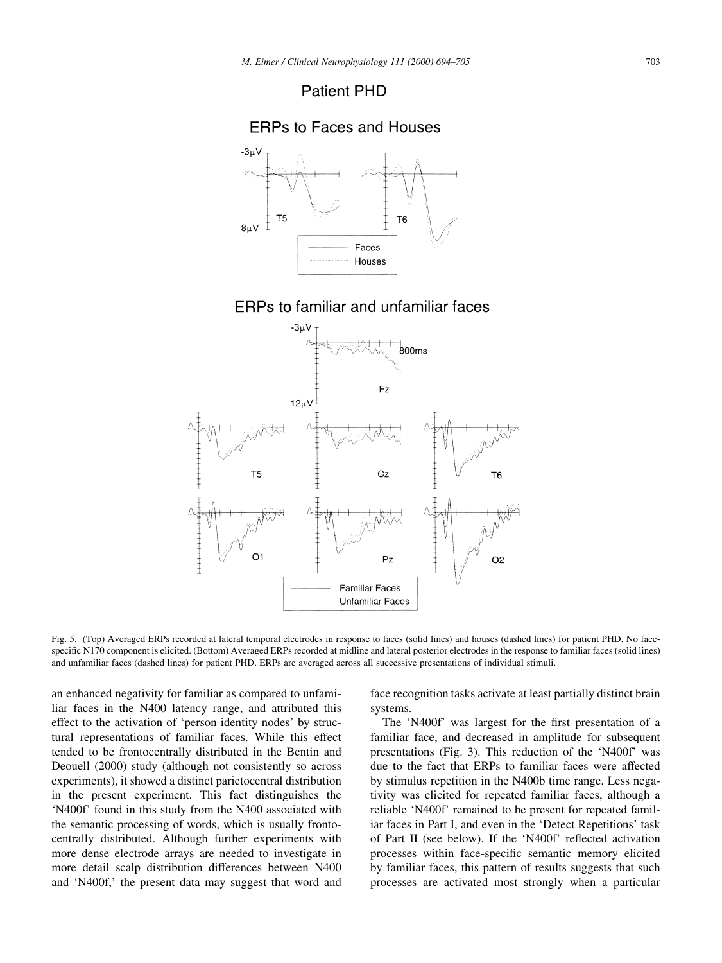## **Patient PHD**



Fig. 5. (Top) Averaged ERPs recorded at lateral temporal electrodes in response to faces (solid lines) and houses (dashed lines) for patient PHD. No facespecific N170 component is elicited. (Bottom) Averaged ERPs recorded at midline and lateral posterior electrodes in the response to familiar faces (solid lines) and unfamiliar faces (dashed lines) for patient PHD. ERPs are averaged across all successive presentations of individual stimuli.

an enhanced negativity for familiar as compared to unfamiliar faces in the N400 latency range, and attributed this effect to the activation of 'person identity nodes' by structural representations of familiar faces. While this effect tended to be frontocentrally distributed in the Bentin and Deouell (2000) study (although not consistently so across experiments), it showed a distinct parietocentral distribution in the present experiment. This fact distinguishes the `N400f' found in this study from the N400 associated with the semantic processing of words, which is usually frontocentrally distributed. Although further experiments with more dense electrode arrays are needed to investigate in more detail scalp distribution differences between N400 and `N400f,' the present data may suggest that word and face recognition tasks activate at least partially distinct brain systems.

The 'N400f' was largest for the first presentation of a familiar face, and decreased in amplitude for subsequent presentations (Fig. 3). This reduction of the `N400f' was due to the fact that ERPs to familiar faces were affected by stimulus repetition in the N400b time range. Less negativity was elicited for repeated familiar faces, although a reliable `N400f' remained to be present for repeated familiar faces in Part I, and even in the `Detect Repetitions' task of Part II (see below). If the 'N400f' reflected activation processes within face-specific semantic memory elicited by familiar faces, this pattern of results suggests that such processes are activated most strongly when a particular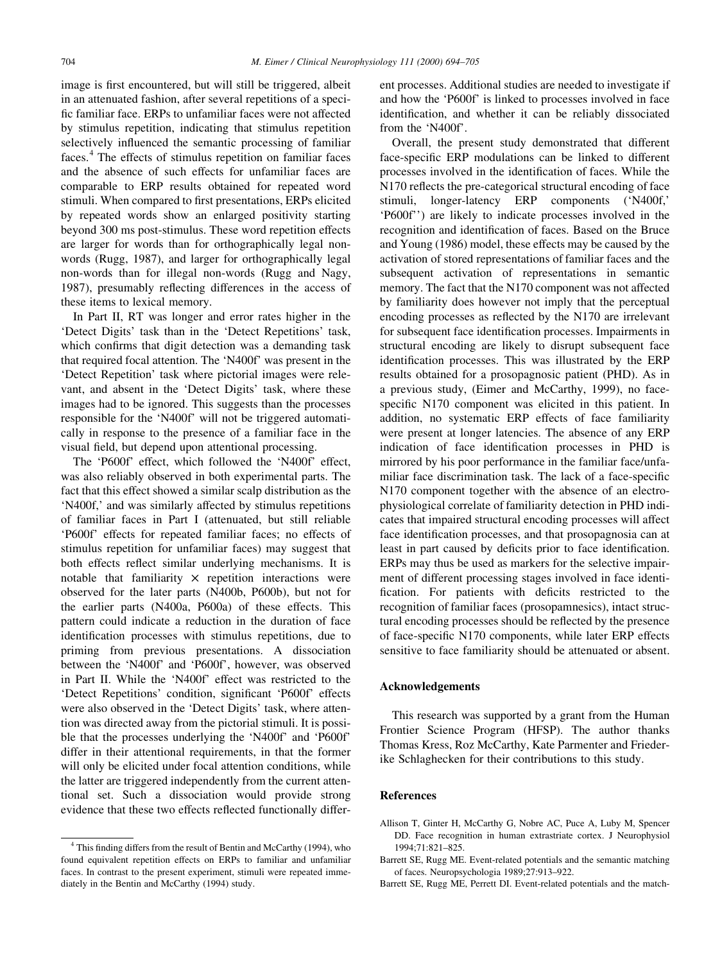image is first encountered, but will still be triggered, albeit in an attenuated fashion, after several repetitions of a speci fic familiar face. ERPs to unfamiliar faces were not affected by stimulus repetition, indicating that stimulus repetition selectively influenced the semantic processing of familiar faces.<sup>4</sup> The effects of stimulus repetition on familiar faces and the absence of such effects for unfamiliar faces are comparable to ERP results obtained for repeated word stimuli. When compared to first presentations, ERPs elicited by repeated words show an enlarged positivity starting beyond 300 ms post-stimulus. These word repetition effects are larger for words than for orthographically legal nonwords (Rugg, 1987), and larger for orthographically legal non-words than for illegal non-words (Rugg and Nagy, 1987), presumably reflecting differences in the access of these items to lexical memory.

In Part II, RT was longer and error rates higher in the `Detect Digits' task than in the `Detect Repetitions' task, which confirms that digit detection was a demanding task that required focal attention. The `N400f' was present in the `Detect Repetition' task where pictorial images were relevant, and absent in the 'Detect Digits' task, where these images had to be ignored. This suggests than the processes responsible for the `N400f' will not be triggered automatically in response to the presence of a familiar face in the visual field, but depend upon attentional processing.

The `P600f' effect, which followed the `N400f' effect, was also reliably observed in both experimental parts. The fact that this effect showed a similar scalp distribution as the `N400f,' and was similarly affected by stimulus repetitions of familiar faces in Part I (attenuated, but still reliable `P600f' effects for repeated familiar faces; no effects of stimulus repetition for unfamiliar faces) may suggest that both effects reflect similar underlying mechanisms. It is notable that familiarity  $\times$  repetition interactions were observed for the later parts (N400b, P600b), but not for the earlier parts (N400a, P600a) of these effects. This pattern could indicate a reduction in the duration of face identification processes with stimulus repetitions, due to priming from previous presentations. A dissociation between the `N400f' and `P600f', however, was observed in Part II. While the `N400f' effect was restricted to the 'Detect Repetitions' condition, significant 'P600f' effects were also observed in the 'Detect Digits' task, where attention was directed away from the pictorial stimuli. It is possible that the processes underlying the `N400f' and `P600f' differ in their attentional requirements, in that the former will only be elicited under focal attention conditions, while the latter are triggered independently from the current attentional set. Such a dissociation would provide strong evidence that these two effects reflected functionally different processes. Additional studies are needed to investigate if and how the `P600f' is linked to processes involved in face identification, and whether it can be reliably dissociated from the 'N400f'.

Overall, the present study demonstrated that different face-specific ERP modulations can be linked to different processes involved in the identification of faces. While the N170 reflects the pre-categorical structural encoding of face stimuli, longer-latency ERP components (`N400f,' `P600f'') are likely to indicate processes involved in the recognition and identification of faces. Based on the Bruce and Young (1986) model, these effects may be caused by the activation of stored representations of familiar faces and the subsequent activation of representations in semantic memory. The fact that the N170 component was not affected by familiarity does however not imply that the perceptual encoding processes as reflected by the N170 are irrelevant for subsequent face identification processes. Impairments in structural encoding are likely to disrupt subsequent face identification processes. This was illustrated by the ERP results obtained for a prosopagnosic patient (PHD). As in a previous study, (Eimer and McCarthy, 1999), no facespecific N170 component was elicited in this patient. In addition, no systematic ERP effects of face familiarity were present at longer latencies. The absence of any ERP indication of face identification processes in PHD is mirrored by his poor performance in the familiar face/unfamiliar face discrimination task. The lack of a face-specific N170 component together with the absence of an electrophysiological correlate of familiarity detection in PHD indicates that impaired structural encoding processes will affect face identification processes, and that prosopagnosia can at least in part caused by deficits prior to face identification. ERPs may thus be used as markers for the selective impairment of different processing stages involved in face identi fication. For patients with deficits restricted to the recognition of familiar faces (prosopamnesics), intact structural encoding processes should be reflected by the presence of face-specific N170 components, while later ERP effects sensitive to face familiarity should be attenuated or absent.

#### Acknowledgements

This research was supported by a grant from the Human Frontier Science Program (HFSP). The author thanks Thomas Kress, Roz McCarthy, Kate Parmenter and Friederike Schlaghecken for their contributions to this study.

#### References

Allison T, Ginter H, McCarthy G, Nobre AC, Puce A, Luby M, Spencer DD. Face recognition in human extrastriate cortex. J Neurophysiol 1994;71:821-825.

Barrett SE, Rugg ME, Perrett DI. Event-related potentials and the match-

 $4$  This finding differs from the result of Bentin and McCarthy (1994), who found equivalent repetition effects on ERPs to familiar and unfamiliar faces. In contrast to the present experiment, stimuli were repeated immediately in the Bentin and McCarthy (1994) study.

Barrett SE, Rugg ME. Event-related potentials and the semantic matching of faces. Neuropsychologia 1989;27:913-922.